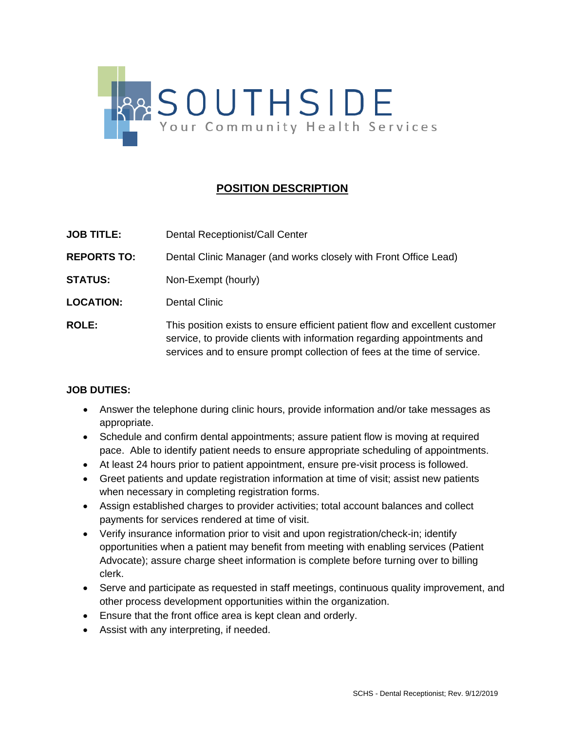

## **POSITION DESCRIPTION**

- **JOB TITLE:** Dental Receptionist/Call Center
- **REPORTS TO:** Dental Clinic Manager (and works closely with Front Office Lead)
- **STATUS:** Non-Exempt (hourly)
- **LOCATION:** Dental Clinic
- **ROLE:** This position exists to ensure efficient patient flow and excellent customer service, to provide clients with information regarding appointments and services and to ensure prompt collection of fees at the time of service.

## **JOB DUTIES:**

- Answer the telephone during clinic hours, provide information and/or take messages as appropriate.
- Schedule and confirm dental appointments; assure patient flow is moving at required pace. Able to identify patient needs to ensure appropriate scheduling of appointments.
- At least 24 hours prior to patient appointment, ensure pre-visit process is followed.
- Greet patients and update registration information at time of visit; assist new patients when necessary in completing registration forms.
- Assign established charges to provider activities; total account balances and collect payments for services rendered at time of visit.
- Verify insurance information prior to visit and upon registration/check-in; identify opportunities when a patient may benefit from meeting with enabling services (Patient Advocate); assure charge sheet information is complete before turning over to billing clerk.
- Serve and participate as requested in staff meetings, continuous quality improvement, and other process development opportunities within the organization.
- Ensure that the front office area is kept clean and orderly.
- Assist with any interpreting, if needed.